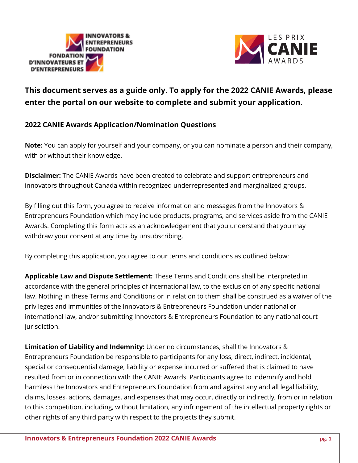



# **This document serves as a guide only. To apply for the 2022 CANIE Awards, please enter the portal on our website to complete and submit your application.**

# **2022 CANIE Awards Application/Nomination Questions**

**Note:** You can apply for yourself and your company, or you can nominate a person and their company, with or without their knowledge.

**Disclaimer:** The CANIE Awards have been created to celebrate and support entrepreneurs and innovators throughout Canada within recognized underrepresented and marginalized groups.

By filling out this form, you agree to receive information and messages from the Innovators & Entrepreneurs Foundation which may include products, programs, and services aside from the CANIE Awards. Completing this form acts as an acknowledgement that you understand that you may withdraw your consent at any time by unsubscribing.

By completing this application, you agree to our terms and conditions as outlined below:

**Applicable Law and Dispute Settlement:** These Terms and Conditions shall be interpreted in accordance with the general principles of international law, to the exclusion of any specific national law. Nothing in these Terms and Conditions or in relation to them shall be construed as a waiver of the privileges and immunities of the Innovators & Entrepreneurs Foundation under national or international law, and/or submitting Innovators & Entrepreneurs Foundation to any national court jurisdiction.

**Limitation of Liability and Indemnity:** Under no circumstances, shall the Innovators & Entrepreneurs Foundation be responsible to participants for any loss, direct, indirect, incidental, special or consequential damage, liability or expense incurred or suffered that is claimed to have resulted from or in connection with the CANIE Awards. Participants agree to indemnify and hold harmless the Innovators and Entrepreneurs Foundation from and against any and all legal liability, claims, losses, actions, damages, and expenses that may occur, directly or indirectly, from or in relation to this competition, including, without limitation, any infringement of the intellectual property rights or other rights of any third party with respect to the projects they submit.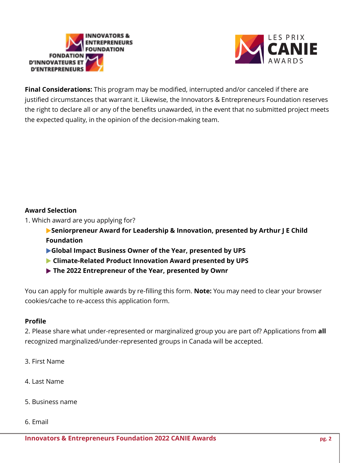



**Final Considerations:** This program may be modified, interrupted and/or canceled if there are justified circumstances that warrant it. Likewise, the Innovators & Entrepreneurs Foundation reserves the right to declare all or any of the benefits unawarded, in the event that no submitted project meets the expected quality, in the opinion of the decision-making team.

#### **Award Selection**

- 1. Which award are you applying for?
	- ▶**Seniorpreneur Award for Leadership & Innovation, presented by Arthur J E Child Foundation**
	- ▶**Global Impact Business Owner of the Year, presented by UPS**
	- ▶ **Climate-Related Product Innovation Award presented by UPS**
	- ▶ **The 2022 Entrepreneur of the Year, presented by Ownr**

You can apply for multiple awards by re-filling this form. **Note:** You may need to clear your browser cookies/cache to re-access this application form.

## **Profile**

2. Please share what under-represented or marginalized group you are part of? Applications from **all** recognized marginalized/under-represented groups in Canada will be accepted.

- 3. First Name
- 4. Last Name
- 5. Business name
- 6. Email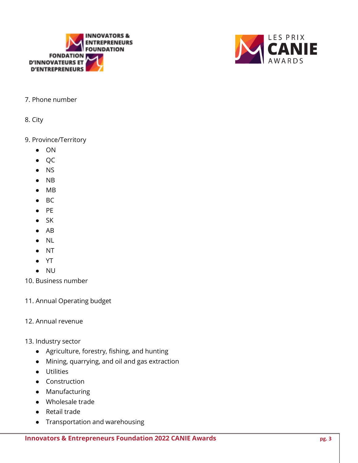



#### 7. Phone number

8. City

#### 9. Province/Territory

- ON
- QC
- NS
- NB
- MB
- BC
- PE
- SK
- AB
- NL
- NT
- YT
- NU
- 10. Business number
- 11. Annual Operating budget
- 12. Annual revenue
- 13. Industry sector
	- Agriculture, forestry, fishing, and hunting
	- Mining, quarrying, and oil and gas extraction
	- Utilities
	- Construction
	- Manufacturing
	- Wholesale trade
	- Retail trade
	- Transportation and warehousing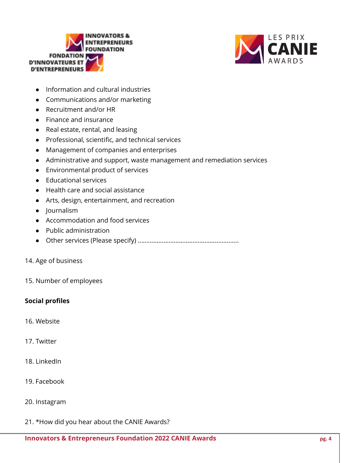



- Information and cultural industries
- Communications and/or marketing
- Recruitment and/or HR
- Finance and insurance
- Real estate, rental, and leasing
- Professional, scientific, and technical services
- Management of companies and enterprises
- Administrative and support, waste management and remediation services
- Environmental product of services
- Educational services
- Health care and social assistance
- Arts, design, entertainment, and recreation
- Journalism
- Accommodation and food services
- Public administration
- Other services (Please specify) ...........................................................
- 14. Age of business
- 15. Number of employees

#### **Social profiles**

- 16. Website
- 17. Twitter
- 18. LinkedIn
- 19. Facebook
- 20. Instagram
- 21. \*How did you hear about the CANIE Awards?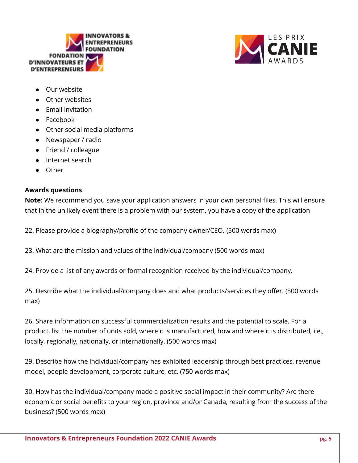



- Our website
- Other websites
- Email invitation
- Facebook
- Other social media platforms
- Newspaper / radio
- Friend / colleague
- Internet search
- Other

#### **Awards questions**

**Note:** We recommend you save your application answers in your own personal files. This will ensure that in the unlikely event there is a problem with our system, you have a copy of the application

22. Please provide a biography/profile of the company owner/CEO. (500 words max)

23. What are the mission and values of the individual/company (500 words max)

24. Provide a list of any awards or formal recognition received by the individual/company.

25. Describe what the individual/company does and what products/services they offer. (500 words max)

26. Share information on successful commercialization results and the potential to scale. For a product, list the number of units sold, where it is manufactured, how and where it is distributed, i.e., locally, regionally, nationally, or internationally. (500 words max)

29. Describe how the individual/company has exhibited leadership through best practices, revenue model, people development, corporate culture, etc. (750 words max)

30. How has the individual/company made a positive social impact in their community? Are there economic or social benefits to your region, province and/or Canada, resulting from the success of the business? (500 words max)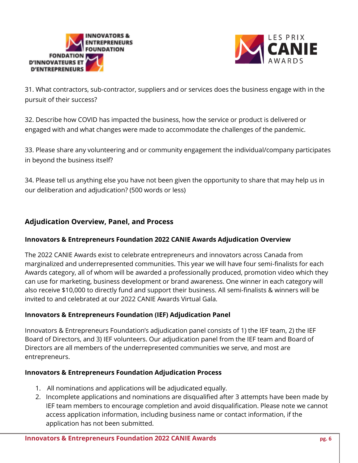



31. What contractors, sub-contractor, suppliers and or services does the business engage with in the pursuit of their success?

32. Describe how COVID has impacted the business, how the service or product is delivered or engaged with and what changes were made to accommodate the challenges of the pandemic.

33. Please share any volunteering and or community engagement the individual/company participates in beyond the business itself?

34. Please tell us anything else you have not been given the opportunity to share that may help us in our deliberation and adjudication? (500 words or less)

# **Adjudication Overview, Panel, and Process**

## **Innovators & Entrepreneurs Foundation 2022 CANIE Awards Adjudication Overview**

The 2022 CANIE Awards exist to celebrate entrepreneurs and innovators across Canada from marginalized and underrepresented communities. This year we will have four semi-finalists for each Awards category, all of whom will be awarded a professionally produced, promotion video which they can use for marketing, business development or brand awareness. One winner in each category will also receive \$10,000 to directly fund and support their business. All semi-finalists & winners will be invited to and celebrated at our 2022 CANIE Awards Virtual Gala.

## **Innovators & Entrepreneurs Foundation (IEF) Adjudication Panel**

Innovators & Entrepreneurs Foundation's adjudication panel consists of 1) the IEF team, 2) the IEF Board of Directors, and 3) IEF volunteers. Our adjudication panel from the IEF team and Board of Directors are all members of the underrepresented communities we serve, and most are entrepreneurs.

#### **Innovators & Entrepreneurs Foundation Adjudication Process**

- 1. All nominations and applications will be adjudicated equally.
- 2. Incomplete applications and nominations are disqualified after 3 attempts have been made by IEF team members to encourage completion and avoid disqualification. Please note we cannot access application information, including business name or contact information, if the application has not been submitted.